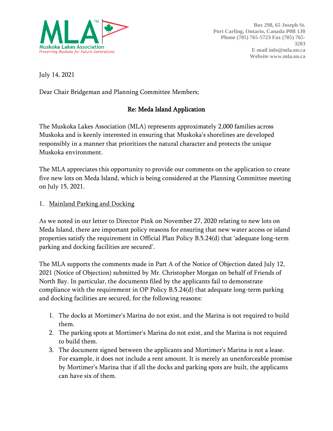

July 14, 2021

Dear Chair Bridgeman and Planning Committee Members;

### Re: Meda Island Application

The Muskoka Lakes Association (MLA) represents approximately 2,000 families across Muskoka and is keenly interested in ensuring that Muskoka's shorelines are developed responsibly in a manner that prioritizes the natural character and protects the unique Muskoka environment.

The MLA appreciates this opportunity to provide our comments on the application to create five new lots on Meda Island, which is being considered at the Planning Committee meeting on July 15, 2021.

#### 1. Mainland Parking and Docking

As we noted in our letter to Director Pink on November 27, 2020 relating to new lots on Meda Island, there are important policy reasons for ensuring that new water access or island properties satisfy the requirement in Official Plan Policy B.5.24(d) that 'adequate long-term parking and docking facilities are secured'.

The MLA supports the comments made in Part A of the Notice of Objection dated July 12, 2021 (Notice of Objection) submitted by Mr. Christopher Morgan on behalf of Friends of North Bay. In particular, the documents filed by the applicants fail to demonstrate compliance with the requirement in OP Policy B.5.24(d) that adequate long-term parking and docking facilities are secured, for the following reasons:

- 1. The docks at Mortimer's Marina do not exist, and the Marina is not required to build them.
- 2. The parking spots at Mortimer's Marina do not exist, and the Marina is not required to build them.
- 3. The document signed between the applicants and Mortimer's Marina is not a lease. For example, it does not include a rent amount. It is merely an unenforceable promise by Mortimer's Marina that if all the docks and parking spots are built, the applicants can have six of them.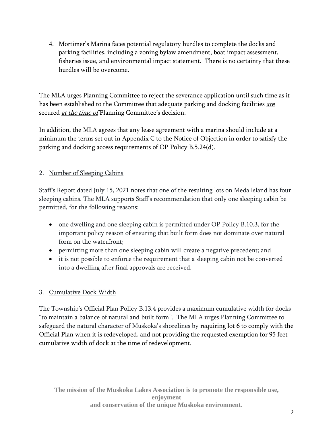4. Mortimer's Marina faces potential regulatory hurdles to complete the docks and parking facilities, including a zoning bylaw amendment, boat impact assessment, fisheries issue, and environmental impact statement. There is no certainty that these hurdles will be overcome.

The MLA urges Planning Committee to reject the severance application until such time as it has been established to the Committee that adequate parking and docking facilities are secured *at the time of* Planning Committee's decision.

In addition, the MLA agrees that any lease agreement with a marina should include at a minimum the terms set out in Appendix C to the Notice of Objection in order to satisfy the parking and docking access requirements of OP Policy B.5.24(d).

## 2. Number of Sleeping Cabins

Staff's Report dated July 15, 2021 notes that one of the resulting lots on Meda Island has four sleeping cabins. The MLA supports Staff's recommendation that only one sleeping cabin be permitted, for the following reasons:

- one dwelling and one sleeping cabin is permitted under OP Policy B.10.3, for the important policy reason of ensuring that built form does not dominate over natural form on the waterfront;
- permitting more than one sleeping cabin will create a negative precedent; and
- it is not possible to enforce the requirement that a sleeping cabin not be converted into a dwelling after final approvals are received.

# 3. Cumulative Dock Width

The Township's Official Plan Policy B.13.4 provides a maximum cumulative width for docks "to maintain a balance of natural and built form". The MLA urges Planning Committee to safeguard the natural character of Muskoka's shorelines by requiring lot 6 to comply with the Official Plan when it is redeveloped, and not providing the requested exemption for 95 feet cumulative width of dock at the time of redevelopment.